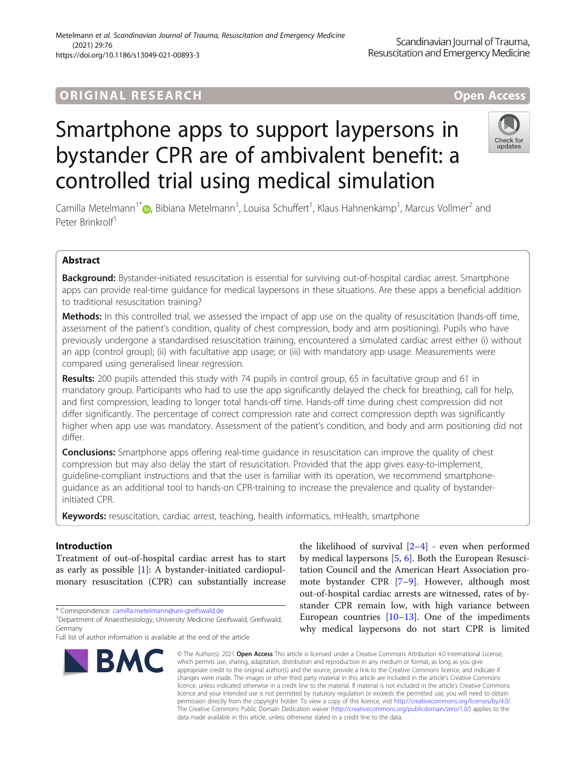# **ORIGINAL RESEARCH And Access** open Access

# Smartphone apps to support laypersons in bystander CPR are of ambivalent benefit: a controlled trial using medical simulation

Camilla Metelmann<sup>1\*</sup>�, Bibiana Metelmann<sup>1</sup>, Louisa Schuffert<sup>1</sup>, Klaus Hahnenkamp<sup>1</sup>, Marcus Vollmer<sup>2</sup> and Peter Brinkrolf<sup>1</sup>

## Abstract

Background: Bystander-initiated resuscitation is essential for surviving out-of-hospital cardiac arrest. Smartphone apps can provide real-time guidance for medical laypersons in these situations. Are these apps a beneficial addition to traditional resuscitation training?

Methods: In this controlled trial, we assessed the impact of app use on the quality of resuscitation (hands-off time, assessment of the patient's condition, quality of chest compression, body and arm positioning). Pupils who have previously undergone a standardised resuscitation training, encountered a simulated cardiac arrest either (i) without an app (control group); (ii) with facultative app usage; or (iii) with mandatory app usage. Measurements were compared using generalised linear regression.

Results: 200 pupils attended this study with 74 pupils in control group, 65 in facultative group and 61 in mandatory group. Participants who had to use the app significantly delayed the check for breathing, call for help, and first compression, leading to longer total hands-off time. Hands-off time during chest compression did not differ significantly. The percentage of correct compression rate and correct compression depth was significantly higher when app use was mandatory. Assessment of the patient's condition, and body and arm positioning did not differ.

**Conclusions:** Smartphone apps offering real-time guidance in resuscitation can improve the quality of chest compression but may also delay the start of resuscitation. Provided that the app gives easy-to-implement, guideline-compliant instructions and that the user is familiar with its operation, we recommend smartphoneguidance as an additional tool to hands-on CPR-training to increase the prevalence and quality of bystanderinitiated CPR.

Keywords: resuscitation, cardiac arrest, teaching, health informatics, mHealth, smartphone

## Introduction

Treatment of out-of-hospital cardiac arrest has to start as early as possible  $[1]$  $[1]$ : A bystander-initiated cardiopulmonary resuscitation (CPR) can substantially increase

\* Correspondence: [camilla.metelmann@uni-greifswald.de](mailto:camilla.metelmann@uni-greifswald.de) <sup>1</sup>

**BMC** 

## Metelmann et al. Scandinavian Journal of Trauma, Resuscitation and Emergency Medicine (2021) 29:76

https://doi.org/10.1186/s13049-021-00893-3

which permits use, sharing, adaptation, distribution and reproduction in any medium or format, as long as you give appropriate credit to the original author(s) and the source, provide a link to the Creative Commons licence, and indicate if changes were made. The images or other third party material in this article are included in the article's Creative Commons licence, unless indicated otherwise in a credit line to the material. If material is not included in the article's Creative Commons licence and your intended use is not permitted by statutory regulation or exceeds the permitted use, you will need to obtain permission directly from the copyright holder. To view a copy of this licence, visit [http://creativecommons.org/licenses/by/4.0/.](http://creativecommons.org/licenses/by/4.0/) The Creative Commons Public Domain Dedication waiver [\(http://creativecommons.org/publicdomain/zero/1.0/](http://creativecommons.org/publicdomain/zero/1.0/)) applies to the data made available in this article, unless otherwise stated in a credit line to the data.

© The Author(s), 2021 **Open Access** This article is licensed under a Creative Commons Attribution 4.0 International License,

the likelihood of survival  $[2-4]$  $[2-4]$  $[2-4]$  $[2-4]$  - even when performed by medical laypersons [[5,](#page-7-0) [6\]](#page-7-0). Both the European Resuscitation Council and the American Heart Association promote bystander CPR [[7](#page-7-0)–[9](#page-7-0)]. However, although most out-of-hospital cardiac arrests are witnessed, rates of bystander CPR remain low, with high variance between European countries [\[10](#page-7-0)–[13\]](#page-7-0). One of the impediments why medical laypersons do not start CPR is limited





## Scandinavian Journal of Trauma, Resuscitation and Emergency Medicine

<sup>&</sup>lt;sup>1</sup>Department of Anaesthesiology, University Medicine Greifswald, Greifswald, Germany

Full list of author information is available at the end of the article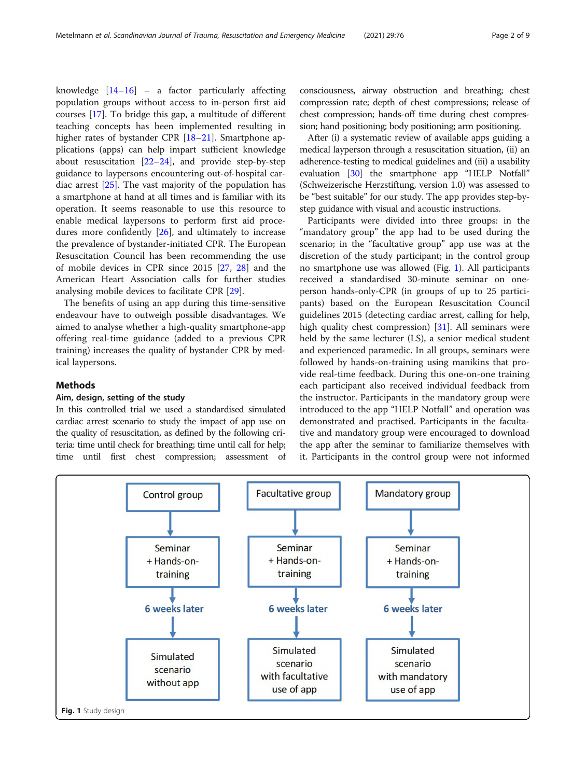knowledge  $[14-16]$  $[14-16]$  $[14-16]$  $[14-16]$  $[14-16]$  – a factor particularly affecting population groups without access to in-person first aid courses [[17](#page-7-0)]. To bridge this gap, a multitude of different teaching concepts has been implemented resulting in higher rates of bystander CPR [\[18](#page-7-0)-[21\]](#page-7-0). Smartphone applications (apps) can help impart sufficient knowledge about resuscitation  $[22-24]$  $[22-24]$  $[22-24]$  $[22-24]$ , and provide step-by-step guidance to laypersons encountering out-of-hospital cardiac arrest [[25](#page-7-0)]. The vast majority of the population has a smartphone at hand at all times and is familiar with its operation. It seems reasonable to use this resource to enable medical laypersons to perform first aid procedures more confidently [[26](#page-7-0)], and ultimately to increase the prevalence of bystander-initiated CPR. The European Resuscitation Council has been recommending the use of mobile devices in CPR since 2015 [[27,](#page-7-0) [28](#page-7-0)] and the American Heart Association calls for further studies analysing mobile devices to facilitate CPR [\[29](#page-7-0)].

The benefits of using an app during this time-sensitive endeavour have to outweigh possible disadvantages. We aimed to analyse whether a high-quality smartphone-app offering real-time guidance (added to a previous CPR training) increases the quality of bystander CPR by medical laypersons.

## Methods

## Aim, design, setting of the study

In this controlled trial we used a standardised simulated cardiac arrest scenario to study the impact of app use on the quality of resuscitation, as defined by the following criteria: time until check for breathing; time until call for help; time until first chest compression; assessment of consciousness, airway obstruction and breathing; chest compression rate; depth of chest compressions; release of chest compression; hands-off time during chest compression; hand positioning; body positioning; arm positioning.

After (i) a systematic review of available apps guiding a medical layperson through a resuscitation situation, (ii) an adherence-testing to medical guidelines and (iii) a usability evaluation [\[30\]](#page-7-0) the smartphone app "HELP Notfall" (Schweizerische Herzstiftung, version 1.0) was assessed to be "best suitable" for our study. The app provides step-bystep guidance with visual and acoustic instructions.

Participants were divided into three groups: in the "mandatory group" the app had to be used during the scenario; in the "facultative group" app use was at the discretion of the study participant; in the control group no smartphone use was allowed (Fig. 1). All participants received a standardised 30-minute seminar on oneperson hands-only-CPR (in groups of up to 25 participants) based on the European Resuscitation Council guidelines 2015 (detecting cardiac arrest, calling for help, high quality chest compression) [\[31](#page-7-0)]. All seminars were held by the same lecturer (LS), a senior medical student and experienced paramedic. In all groups, seminars were followed by hands-on-training using manikins that provide real-time feedback. During this one-on-one training each participant also received individual feedback from the instructor. Participants in the mandatory group were introduced to the app "HELP Notfall" and operation was demonstrated and practised. Participants in the facultative and mandatory group were encouraged to download the app after the seminar to familiarize themselves with it. Participants in the control group were not informed

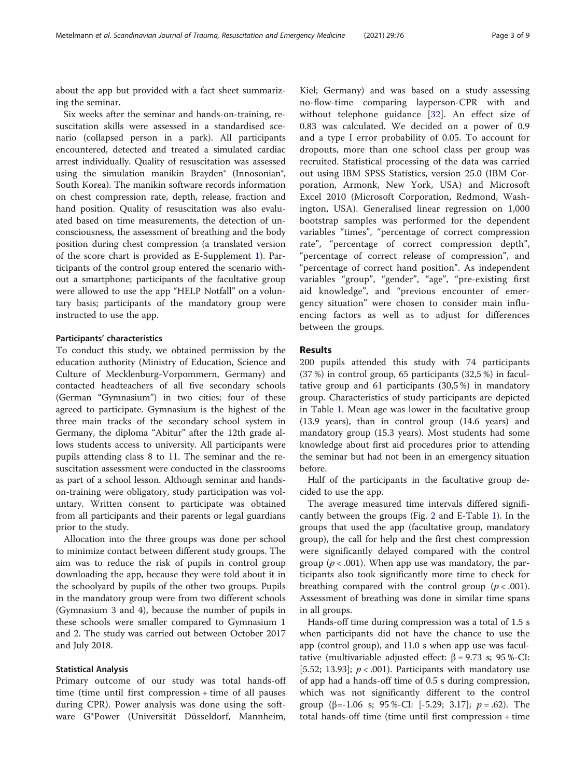about the app but provided with a fact sheet summarizing the seminar.

Six weeks after the seminar and hands-on-training, resuscitation skills were assessed in a standardised scenario (collapsed person in a park). All participants encountered, detected and treated a simulated cardiac arrest individually. Quality of resuscitation was assessed using the simulation manikin Brayden® (Innosonian®, South Korea). The manikin software records information on chest compression rate, depth, release, fraction and hand position. Quality of resuscitation was also evaluated based on time measurements, the detection of unconsciousness, the assessment of breathing and the body position during chest compression (a translated version of the score chart is provided as E-Supplement [1](#page-6-0)). Participants of the control group entered the scenario without a smartphone; participants of the facultative group were allowed to use the app "HELP Notfall" on a voluntary basis; participants of the mandatory group were instructed to use the app.

#### Participants' characteristics

To conduct this study, we obtained permission by the education authority (Ministry of Education, Science and Culture of Mecklenburg-Vorpommern, Germany) and contacted headteachers of all five secondary schools (German "Gymnasium") in two cities; four of these agreed to participate. Gymnasium is the highest of the three main tracks of the secondary school system in Germany, the diploma "Abitur" after the 12th grade allows students access to university. All participants were pupils attending class 8 to 11. The seminar and the resuscitation assessment were conducted in the classrooms as part of a school lesson. Although seminar and handson-training were obligatory, study participation was voluntary. Written consent to participate was obtained from all participants and their parents or legal guardians prior to the study.

Allocation into the three groups was done per school to minimize contact between different study groups. The aim was to reduce the risk of pupils in control group downloading the app, because they were told about it in the schoolyard by pupils of the other two groups. Pupils in the mandatory group were from two different schools (Gymnasium 3 and 4), because the number of pupils in these schools were smaller compared to Gymnasium 1 and 2. The study was carried out between October 2017 and July 2018.

#### Statistical Analysis

Primary outcome of our study was total hands-off time (time until first compression + time of all pauses during CPR). Power analysis was done using the software G\*Power (Universität Düsseldorf, Mannheim,

Kiel; Germany) and was based on a study assessing no-flow-time comparing layperson-CPR with and without telephone guidance [[32\]](#page-7-0). An effect size of 0.83 was calculated. We decided on a power of 0.9 and a type I error probability of 0.05. To account for dropouts, more than one school class per group was recruited. Statistical processing of the data was carried out using IBM SPSS Statistics, version 25.0 (IBM Corporation, Armonk, New York, USA) and Microsoft Excel 2010 (Microsoft Corporation, Redmond, Washington, USA). Generalised linear regression on 1,000 bootstrap samples was performed for the dependent variables "times", "percentage of correct compression rate", "percentage of correct compression depth", "percentage of correct release of compression", and "percentage of correct hand position". As independent variables "group", "gender", "age", "pre-existing first aid knowledge", and "previous encounter of emergency situation" were chosen to consider main influencing factors as well as to adjust for differences between the groups.

#### Results

200 pupils attended this study with 74 participants (37 %) in control group, 65 participants (32,5 %) in facultative group and 61 participants (30,5 %) in mandatory group. Characteristics of study participants are depicted in Table [1.](#page-3-0) Mean age was lower in the facultative group (13.9 years), than in control group (14.6 years) and mandatory group (15.3 years). Most students had some knowledge about first aid procedures prior to attending the seminar but had not been in an emergency situation before.

Half of the participants in the facultative group decided to use the app.

The average measured time intervals differed significantly between the groups (Fig. [2](#page-3-0) and E-Table [1\)](#page-6-0). In the groups that used the app (facultative group, mandatory group), the call for help and the first chest compression were significantly delayed compared with the control group ( $p < .001$ ). When app use was mandatory, the participants also took significantly more time to check for breathing compared with the control group  $(p < .001)$ . Assessment of breathing was done in similar time spans in all groups.

Hands-off time during compression was a total of 1.5 s when participants did not have the chance to use the app (control group), and 11.0 s when app use was facultative (multivariable adjusted effect:  $β = 9.73$  s; 95 %-CI: [5.52; 13.93];  $p < .001$ ). Participants with mandatory use of app had a hands-off time of 0.5 s during compression, which was not significantly different to the control group ( $\beta$ =-1.06 s; 95 %-CI: [-5.29; 3.17];  $p = .62$ ). The total hands-off time (time until first compression + time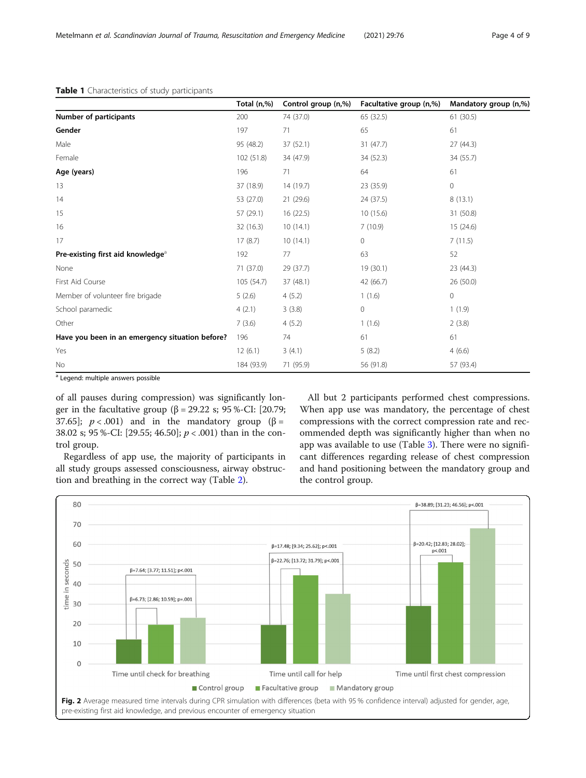|                                                 | Total (n,%) | Control group (n,%) | Facultative group (n,%) | Mandatory group (n,%) |
|-------------------------------------------------|-------------|---------------------|-------------------------|-----------------------|
| Number of participants                          | 200         | 74 (37.0)           | 65 (32.5)               | 61 (30.5)             |
| Gender                                          | 197         | 71                  | 65                      | 61                    |
| Male                                            | 95 (48.2)   | 37(52.1)            | 31(47.7)                | 27 (44.3)             |
| Female                                          | 102(51.8)   | 34 (47.9)           | 34 (52.3)               | 34 (55.7)             |
| Age (years)                                     | 196         | 71                  | 64                      | 61                    |
| 13                                              | 37 (18.9)   | 14 (19.7)           | 23 (35.9)               | $\circ$               |
| 14                                              | 53 (27.0)   | 21(29.6)            | 24 (37.5)               | 8(13.1)               |
| 15                                              | 57 (29.1)   | 16 (22.5)           | 10(15.6)                | 31 (50.8)             |
| 16                                              | 32 (16.3)   | 10(14.1)            | 7(10.9)                 | 15 (24.6)             |
| 17                                              | 17(8.7)     | 10(14.1)            | $\mathbf 0$             | 7(11.5)               |
| Pre-existing first aid knowledge <sup>a</sup>   | 192         | 77                  | 63                      | 52                    |
| None                                            | 71 (37.0)   | 29 (37.7)           | 19 (30.1)               | 23 (44.3)             |
| First Aid Course                                | 105 (54.7)  | 37 (48.1)           | 42 (66.7)               | 26(50.0)              |
| Member of volunteer fire brigade                | 5(2.6)      | 4(5.2)              | 1(1.6)                  | $\circ$               |
| School paramedic                                | 4(2.1)      | 3(3.8)              | $\circ$                 | 1(1.9)                |
| Other                                           | 7(3.6)      | 4(5.2)              | 1(1.6)                  | 2(3.8)                |
| Have you been in an emergency situation before? | 196         | 74                  | 61                      | 61                    |
| Yes                                             | 12(6.1)     | 3(4.1)              | 5(8.2)                  | 4(6.6)                |
| No                                              | 184 (93.9)  | 71 (95.9)           | 56 (91.8)               | 57 (93.4)             |

#### <span id="page-3-0"></span>Table 1 Characteristics of study participants

<sup>a</sup> Legend: multiple answers possible

of all pauses during compression) was significantly longer in the facultative group (β = 29.22 s; 95 %-CI: [20.79; 37.65];  $p < .001$ ) and in the mandatory group ( $\beta =$ 38.02 s; 95 %-CI: [29.55; 46.50]; p < .001) than in the control group.

Regardless of app use, the majority of participants in all study groups assessed consciousness, airway obstruction and breathing in the correct way (Table [2\)](#page-4-0).

All but 2 participants performed chest compressions. When app use was mandatory, the percentage of chest compressions with the correct compression rate and recommended depth was significantly higher than when no app was available to use (Table [3\)](#page-4-0). There were no significant differences regarding release of chest compression and hand positioning between the mandatory group and the control group.

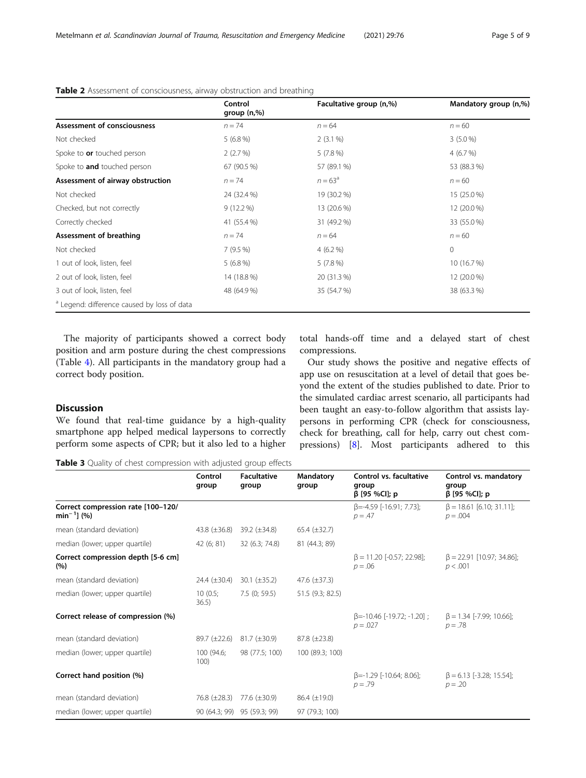|                                                        | Control<br>group $(n, %)$ | Facultative group (n,%) | Mandatory group (n,%) |
|--------------------------------------------------------|---------------------------|-------------------------|-----------------------|
| Assessment of consciousness                            | $n = 74$                  | $n = 64$                | $n = 60$              |
| Not checked                                            | 5(6.8%)                   | $2(3.1\%)$              | $3(5.0\%)$            |
| Spoke to or touched person                             | 2(2.7%)                   | $5(7.8\%)$              | 4(6.7%)               |
| Spoke to <b>and</b> touched person                     | 67 (90.5 %)               | 57 (89.1 %)             | 53 (88.3 %)           |
| Assessment of airway obstruction                       | $n = 74$                  | $n = 63^{\circ}$        | $n = 60$              |
| Not checked                                            | 24 (32.4 %)               | 19 (30.2 %)             | 15 (25.0 %)           |
| Checked, but not correctly                             | $9(12.2\%)$               | 13 (20.6 %)             | 12 (20.0 %)           |
| Correctly checked                                      | 41 (55.4 %)               | 31 (49.2 %)             | 33 (55.0 %)           |
| Assessment of breathing                                | $n = 74$                  | $n = 64$                | $n = 60$              |
| Not checked                                            | 7(9.5%)                   | $4(6.2\%)$              | $\overline{0}$        |
| 1 out of look, listen, feel                            | $5(6.8\%)$                | $5(7.8\%)$              | 10 (16.7 %)           |
| 2 out of look, listen, feel                            | 14 (18.8 %)               | 20 (31.3 %)             | 12 (20.0 %)           |
| 3 out of look, listen, feel                            | 48 (64.9 %)               | 35 (54.7 %)             | 38 (63.3 %)           |
| <sup>a</sup> Legend: difference caused by loss of data |                           |                         |                       |

## <span id="page-4-0"></span>Table 2 Assessment of consciousness, airway obstruction and breathing

The majority of participants showed a correct body position and arm posture during the chest compressions (Table [4](#page-5-0)). All participants in the mandatory group had a correct body position.

total hands-off time and a delayed start of chest compressions.

Our study shows the positive and negative effects of app use on resuscitation at a level of detail that goes beyond the extent of the studies published to date. Prior to the simulated cardiac arrest scenario, all participants had been taught an easy-to-follow algorithm that assists laypersons in performing CPR (check for consciousness, check for breathing, call for help, carry out chest compressions) [[8\]](#page-7-0). Most participants adhered to this

## Discussion

We found that real-time guidance by a high-quality smartphone app helped medical laypersons to correctly perform some aspects of CPR; but it also led to a higher

Table 3 Quality of chest compression with adjusted group effects

|                                                        | Control<br>group    | <b>Facultative</b><br>group | Mandatory<br>group  | Control vs. facultative<br>group<br>$β$ [95 %Cl]; p | Control vs. mandatory<br>group<br>$β$ [95 %Cl]; p |
|--------------------------------------------------------|---------------------|-----------------------------|---------------------|-----------------------------------------------------|---------------------------------------------------|
| Correct compression rate [100-120/<br>$min^{-1}$ ] (%) |                     |                             |                     | $\beta$ =-4.59 [-16.91; 7.73];<br>$p = .47$         | $\beta = 18.61$ [6.10; 31.11];<br>$p = .004$      |
| mean (standard deviation)                              | 43.8 $(\pm 36.8)$   | $39.2 \ (\pm 34.8)$         | $65.4 (\pm 32.7)$   |                                                     |                                                   |
| median (lower; upper quartile)                         | 42(6; 81)           | 32 (6.3; 74.8)              | 81 (44.3; 89)       |                                                     |                                                   |
| Correct compression depth [5-6 cm]<br>(%)              |                     |                             |                     | $\beta$ = 11.20 [-0.57: 22.98]:<br>$p = .06$        | $\beta = 22.91$ [10.97; 34.86];<br>p < .001       |
| mean (standard deviation)                              | 24.4 $(\pm 30.4)$   | 30.1 $(\pm 35.2)$           | 47.6 $(\pm 37.3)$   |                                                     |                                                   |
| median (lower; upper quartile)                         | 10(0.5;<br>36.5)    | 7.5(0; 59.5)                | 51.5 (9.3; 82.5)    |                                                     |                                                   |
| Correct release of compression (%)                     |                     |                             |                     | $\beta$ =-10.46 [-19.72; -1.20];<br>$p = .027$      | $\beta = 1.34$ [-7.99; 10.66];<br>$p = .78$       |
| mean (standard deviation)                              | $89.7 (\pm 22.6)$   | $81.7 (\pm 30.9)$           | $87.8 \ (\pm 23.8)$ |                                                     |                                                   |
| median (lower; upper quartile)                         | 100 (94.6;<br>100)  | 98 (77.5; 100)              | 100 (89.3; 100)     |                                                     |                                                   |
| Correct hand position (%)                              |                     |                             |                     | $\beta$ =-1.29 [-10.64; 8.06];<br>$p = .79$         | $\beta$ = 6.13 [-3.28; 15.54];<br>$p = .20$       |
| mean (standard deviation)                              | $76.8 \ (\pm 28.3)$ | 77.6 (±30.9)                | $86.4 \ (\pm 19.0)$ |                                                     |                                                   |
| median (lower; upper quartile)                         |                     | 90 (64.3; 99) 95 (59.3; 99) | 97 (79.3; 100)      |                                                     |                                                   |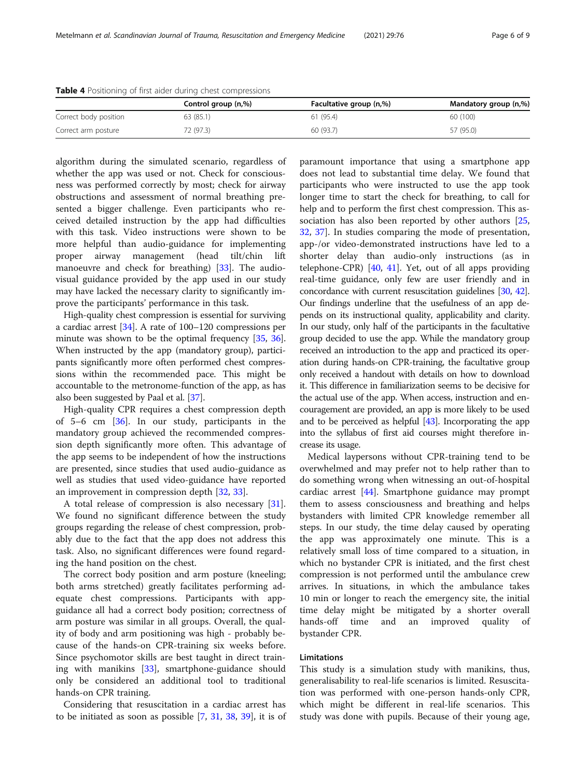|                       | Control group (n,%) | Facultative group (n,%) | Mandatory group (n,%) |
|-----------------------|---------------------|-------------------------|-----------------------|
| Correct body position | 63 (85.1)           | 61(95.4)                | 60 (100)              |
| Correct arm posture   | 72 (97.3)           | 60 (93.7)               | 57 (95.0)             |

<span id="page-5-0"></span>Table 4 Positioning of first aider during chest compressions

algorithm during the simulated scenario, regardless of whether the app was used or not. Check for consciousness was performed correctly by most; check for airway obstructions and assessment of normal breathing presented a bigger challenge. Even participants who received detailed instruction by the app had difficulties with this task. Video instructions were shown to be more helpful than audio-guidance for implementing proper airway management (head tilt/chin lift manoeuvre and check for breathing) [[33\]](#page-7-0). The audiovisual guidance provided by the app used in our study may have lacked the necessary clarity to significantly improve the participants' performance in this task.

High-quality chest compression is essential for surviving a cardiac arrest [[34](#page-7-0)]. A rate of 100–120 compressions per minute was shown to be the optimal frequency [\[35,](#page-8-0) [36](#page-8-0)]. When instructed by the app (mandatory group), participants significantly more often performed chest compressions within the recommended pace. This might be accountable to the metronome-function of the app, as has also been suggested by Paal et al. [\[37](#page-8-0)].

High-quality CPR requires a chest compression depth of 5–6 cm [\[36](#page-8-0)]. In our study, participants in the mandatory group achieved the recommended compression depth significantly more often. This advantage of the app seems to be independent of how the instructions are presented, since studies that used audio-guidance as well as studies that used video-guidance have reported an improvement in compression depth [\[32,](#page-7-0) [33\]](#page-7-0).

A total release of compression is also necessary [\[31](#page-7-0)]. We found no significant difference between the study groups regarding the release of chest compression, probably due to the fact that the app does not address this task. Also, no significant differences were found regarding the hand position on the chest.

The correct body position and arm posture (kneeling; both arms stretched) greatly facilitates performing adequate chest compressions. Participants with appguidance all had a correct body position; correctness of arm posture was similar in all groups. Overall, the quality of body and arm positioning was high - probably because of the hands-on CPR-training six weeks before. Since psychomotor skills are best taught in direct training with manikins [[33\]](#page-7-0), smartphone-guidance should only be considered an additional tool to traditional hands-on CPR training.

Considering that resuscitation in a cardiac arrest has to be initiated as soon as possible [[7,](#page-7-0) [31,](#page-7-0) [38](#page-8-0), [39\]](#page-8-0), it is of

paramount importance that using a smartphone app does not lead to substantial time delay. We found that participants who were instructed to use the app took longer time to start the check for breathing, to call for help and to perform the first chest compression. This as-sociation has also been reported by other authors [[25](#page-7-0), [32,](#page-7-0) [37](#page-8-0)]. In studies comparing the mode of presentation, app-/or video-demonstrated instructions have led to a shorter delay than audio-only instructions (as in telephone-CPR) [\[40,](#page-8-0) [41](#page-8-0)]. Yet, out of all apps providing real-time guidance, only few are user friendly and in concordance with current resuscitation guidelines [\[30,](#page-7-0) [42](#page-8-0)]. Our findings underline that the usefulness of an app depends on its instructional quality, applicability and clarity. In our study, only half of the participants in the facultative group decided to use the app. While the mandatory group received an introduction to the app and practiced its operation during hands-on CPR-training, the facultative group only received a handout with details on how to download it. This difference in familiarization seems to be decisive for the actual use of the app. When access, instruction and encouragement are provided, an app is more likely to be used and to be perceived as helpful [[43](#page-8-0)]. Incorporating the app into the syllabus of first aid courses might therefore increase its usage.

Medical laypersons without CPR-training tend to be overwhelmed and may prefer not to help rather than to do something wrong when witnessing an out-of-hospital cardiac arrest [[44\]](#page-8-0). Smartphone guidance may prompt them to assess consciousness and breathing and helps bystanders with limited CPR knowledge remember all steps. In our study, the time delay caused by operating the app was approximately one minute. This is a relatively small loss of time compared to a situation, in which no bystander CPR is initiated, and the first chest compression is not performed until the ambulance crew arrives. In situations, in which the ambulance takes 10 min or longer to reach the emergency site, the initial time delay might be mitigated by a shorter overall hands-off time and an improved quality of bystander CPR.

#### Limitations

This study is a simulation study with manikins, thus, generalisability to real-life scenarios is limited. Resuscitation was performed with one-person hands-only CPR, which might be different in real-life scenarios. This study was done with pupils. Because of their young age,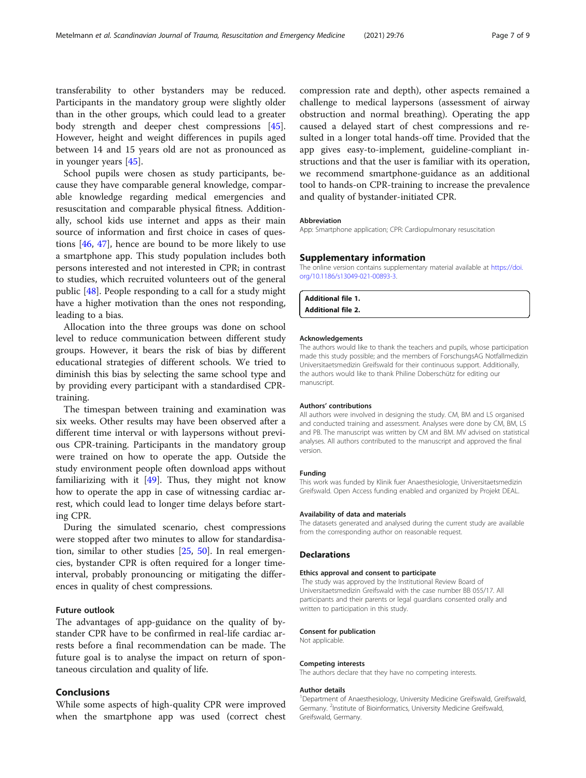<span id="page-6-0"></span>transferability to other bystanders may be reduced. Participants in the mandatory group were slightly older than in the other groups, which could lead to a greater body strength and deeper chest compressions [\[45](#page-8-0)]. However, height and weight differences in pupils aged between 14 and 15 years old are not as pronounced as in younger years [\[45](#page-8-0)].

School pupils were chosen as study participants, because they have comparable general knowledge, comparable knowledge regarding medical emergencies and resuscitation and comparable physical fitness. Additionally, school kids use internet and apps as their main source of information and first choice in cases of questions [\[46](#page-8-0), [47\]](#page-8-0), hence are bound to be more likely to use a smartphone app. This study population includes both persons interested and not interested in CPR; in contrast to studies, which recruited volunteers out of the general public [[48\]](#page-8-0). People responding to a call for a study might have a higher motivation than the ones not responding, leading to a bias.

Allocation into the three groups was done on school level to reduce communication between different study groups. However, it bears the risk of bias by different educational strategies of different schools. We tried to diminish this bias by selecting the same school type and by providing every participant with a standardised CPRtraining.

The timespan between training and examination was six weeks. Other results may have been observed after a different time interval or with laypersons without previous CPR-training. Participants in the mandatory group were trained on how to operate the app. Outside the study environment people often download apps without familiarizing with it  $[49]$  $[49]$  $[49]$ . Thus, they might not know how to operate the app in case of witnessing cardiac arrest, which could lead to longer time delays before starting CPR.

During the simulated scenario, chest compressions were stopped after two minutes to allow for standardisation, similar to other studies [[25](#page-7-0), [50\]](#page-8-0). In real emergencies, bystander CPR is often required for a longer timeinterval, probably pronouncing or mitigating the differences in quality of chest compressions.

#### Future outlook

The advantages of app-guidance on the quality of bystander CPR have to be confirmed in real-life cardiac arrests before a final recommendation can be made. The future goal is to analyse the impact on return of spontaneous circulation and quality of life.

#### Conclusions

While some aspects of high-quality CPR were improved when the smartphone app was used (correct chest compression rate and depth), other aspects remained a challenge to medical laypersons (assessment of airway obstruction and normal breathing). Operating the app caused a delayed start of chest compressions and resulted in a longer total hands-off time. Provided that the app gives easy-to-implement, guideline-compliant instructions and that the user is familiar with its operation, we recommend smartphone-guidance as an additional tool to hands-on CPR-training to increase the prevalence and quality of bystander-initiated CPR.

#### Abbreviation

App: Smartphone application; CPR: Cardiopulmonary resuscitation

#### Supplementary information

The online version contains supplementary material available at [https://doi.](https://doi.org/10.1186/s13049-021-00893-3) [org/10.1186/s13049-021-00893-3.](https://doi.org/10.1186/s13049-021-00893-3)

| Additional file 1. |  |
|--------------------|--|
| Additional file 2. |  |

#### Acknowledgements

The authors would like to thank the teachers and pupils, whose participation made this study possible; and the members of ForschungsAG Notfallmedizin Universitaetsmedizin Greifswald for their continuous support. Additionally, the authors would like to thank Philine Doberschütz for editing our manuscript.

#### Authors' contributions

All authors were involved in designing the study. CM, BM and LS organised and conducted training and assessment. Analyses were done by CM, BM, LS and PB. The manuscript was written by CM and BM. MV advised on statistical analyses. All authors contributed to the manuscript and approved the final version.

#### Funding

This work was funded by Klinik fuer Anaesthesiologie, Universitaetsmedizin Greifswald. Open Access funding enabled and organized by Projekt DEAL.

#### Availability of data and materials

The datasets generated and analysed during the current study are available from the corresponding author on reasonable request.

#### **Declarations**

#### Ethics approval and consent to participate

The study was approved by the Institutional Review Board of Universitaetsmedizin Greifswald with the case number BB 055/17. All participants and their parents or legal guardians consented orally and written to participation in this study.

#### Consent for publication

Not applicable.

#### Competing interests

The authors declare that they have no competing interests.

#### Author details

<sup>1</sup>Department of Anaesthesiology, University Medicine Greifswald, Greifswald Germany. <sup>2</sup>Institute of Bioinformatics, University Medicine Greifswald Greifswald, Germany.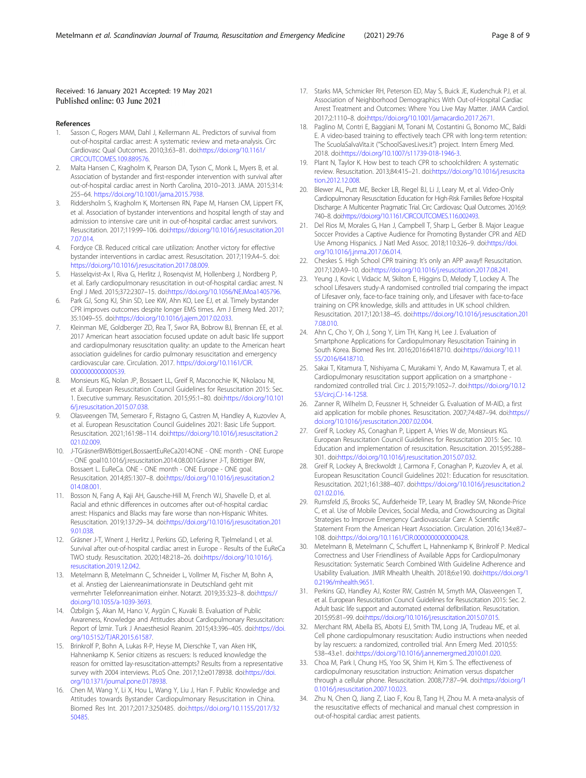#### <span id="page-7-0"></span>Received: 16 January 2021 Accepted: 19 May 2021 Published online: 03 June 2021

#### References

- 1. Sasson C, Rogers MAM, Dahl J, Kellermann AL. Predictors of survival from out-of-hospital cardiac arrest: A systematic review and meta-analysis. Circ Cardiovasc Qual Outcomes. 2010;3:63–81. doi:[https://doi.org/10.1161/](https://doi.org/10.1161/CIRCOUTCOMES.109.889576) CIRCOUTCOMES 109 889576
- 2. Malta Hansen C, Kragholm K, Pearson DA, Tyson C, Monk L, Myers B, et al. Association of bystander and first-responder intervention with survival after out-of-hospital cardiac arrest in North Carolina, 2010–2013. JAMA. 2015;314: 255–64. <https://doi.org/10.1001/jama.2015.7938>.
- Riddersholm S, Kragholm K, Mortensen RN, Pape M, Hansen CM, Lippert FK, et al. Association of bystander interventions and hospital length of stay and admission to intensive care unit in out-of-hospital cardiac arrest survivors. Resuscitation. 2017;119:99–106. doi:[https://doi.org/10.1016/j.resuscitation.201](https://doi.org/10.1016/j.resuscitation.2017.07.014) [7.07.014.](https://doi.org/10.1016/j.resuscitation.2017.07.014)
- 4. Fordyce CB. Reduced critical care utilization: Another victory for effective bystander interventions in cardiac arrest. Resuscitation. 2017;119:A4–5. doi: <https://doi.org/10.1016/j.resuscitation.2017.08.009>.
- 5. Hasselqvist-Ax I, Riva G, Herlitz J, Rosenqvist M, Hollenberg J, Nordberg P, et al. Early cardiopulmonary resuscitation in out-of-hospital cardiac arrest. N Engl J Med. 2015;372:2307–15. doi:[https://doi.org/10.1056/NEJMoa1405796.](https://doi.org/10.1056/NEJMoa1405796)
- Park GJ, Song KJ, Shin SD, Lee KW, Ahn KO, Lee EJ, et al. Timely bystander CPR improves outcomes despite longer EMS times. Am J Emerg Med. 2017; 35:1049–55. doi[:https://doi.org/10.1016/j.ajem.2017.02.033](https://doi.org/10.1016/j.ajem.2017.02.033).
- 7. Kleinman ME, Goldberger ZD, Rea T, Swor RA, Bobrow BJ, Brennan EE, et al. 2017 American heart association focused update on adult basic life support and cardiopulmonary resuscitation quality: an update to the American heart association guidelines for cardio pulmonary resuscitation and emergency cardiovascular care. Circulation. 2017. [https://doi.org/10.1161/CIR.](https://doi.org/10.1161/CIR.0000000000000539) [0000000000000539](https://doi.org/10.1161/CIR.0000000000000539).
- 8. Monsieurs KG, Nolan JP, Bossaert LL, Greif R, Maconochie IK, Nikolaou NI, et al. European Resuscitation Council Guidelines for Resuscitation 2015: Sec. 1. Executive summary. Resuscitation. 2015;95:1–80. doi:[https://doi.org/10.101](https://doi.org/10.1016/j.resuscitation.2015.07.038) [6/j.resuscitation.2015.07.038](https://doi.org/10.1016/j.resuscitation.2015.07.038).
- 9. Olasveengen TM, Semeraro F, Ristagno G, Castren M, Handley A, Kuzovlev A, et al. European Resuscitation Council Guidelines 2021: Basic Life Support. Resuscitation. 2021;161:98–114. doi:[https://doi.org/10.1016/j.resuscitation.2](https://doi.org/10.1016/j.resuscitation.2021.02.009) [021.02.009](https://doi.org/10.1016/j.resuscitation.2021.02.009).
- 10. J-TGräsnerBWBöttigerLBossaertEuReCa2014ONE ONE month ONE Europe - ONE goal10.1016/j.resuscitation.2014.08.001Gräsner J-T, Böttiger BW, Bossaert L. EuReCa. ONE - ONE month - ONE Europe - ONE goal. Resuscitation. 2014;85:1307–8. doi[:https://doi.org/10.1016/j.resuscitation.2](https://doi.org/10.1016/j.resuscitation.2014.08.001) [014.08.001](https://doi.org/10.1016/j.resuscitation.2014.08.001).
- 11. Bosson N, Fang A, Kaji AH, Gausche-Hill M, French WJ, Shavelle D, et al. Racial and ethnic differences in outcomes after out-of-hospital cardiac arrest: Hispanics and Blacks may fare worse than non-Hispanic Whites. Resuscitation. 2019;137:29–34. doi[:https://doi.org/10.1016/j.resuscitation.201](https://doi.org/10.1016/j.resuscitation.2019.01.038) [9.01.038.](https://doi.org/10.1016/j.resuscitation.2019.01.038)
- 12. Gräsner J-T, Wnent J, Herlitz J, Perkins GD, Lefering R, Tjelmeland I, et al. Survival after out-of-hospital cardiac arrest in Europe - Results of the EuReCa TWO study. Resuscitation. 2020;148:218–26. doi[:https://doi.org/10.1016/j.](https://doi.org/10.1016/j.resuscitation.2019.12.042) [resuscitation.2019.12.042.](https://doi.org/10.1016/j.resuscitation.2019.12.042)
- 13. Metelmann B, Metelmann C, Schneider L, Vollmer M, Fischer M, Bohn A, et al. Anstieg der Laienreanimationsrate in Deutschland geht mit vermehrter Telefonreanimation einher. Notarzt. 2019;35:323–8. doi[:https://](https://doi.org/10.1055/a-1039-3693) [doi.org/10.1055/a-1039-3693.](https://doi.org/10.1055/a-1039-3693)
- 14. Özbilgin Ş, Akan M, Hancı V, Aygün C, Kuvaki B. Evaluation of Public Awareness, Knowledge and Attitudes about Cardiopulmonary Resuscitation: Report of İzmir. Turk J Anaesthesiol Reanim. 2015;43:396–405. doi[:https://doi.](https://doi.org/10.5152/TJAR.2015.61587) [org/10.5152/TJAR.2015.61587](https://doi.org/10.5152/TJAR.2015.61587).
- 15. Brinkrolf P, Bohn A, Lukas R-P, Heyse M, Dierschke T, van Aken HK, Hahnenkamp K. Senior citizens as rescuers: Is reduced knowledge the reason for omitted lay-resuscitation-attempts? Results from a representative survey with 2004 interviews. PLoS One. 2017;12:e0178938. doi[:https://doi.](https://doi.org/10.1371/journal.pone.0178938) [org/10.1371/journal.pone.0178938.](https://doi.org/10.1371/journal.pone.0178938)
- 16. Chen M, Wang Y, Li X, Hou L, Wang Y, Liu J, Han F. Public Knowledge and Attitudes towards Bystander Cardiopulmonary Resuscitation in China. Biomed Res Int. 2017;2017:3250485. doi[:https://doi.org/10.1155/2017/32](https://doi.org/10.1155/2017/3250485) [50485](https://doi.org/10.1155/2017/3250485).
- 17. Starks MA, Schmicker RH, Peterson ED, May S, Buick JE, Kudenchuk PJ, et al. Association of Neighborhood Demographics With Out-of-Hospital Cardiac Arrest Treatment and Outcomes: Where You Live May Matter. JAMA Cardiol. 2017;2:1110–8. doi[:https://doi.org/10.1001/jamacardio.2017.2671](https://doi.org/10.1001/jamacardio.2017.2671).
- 18. Paglino M, Contri E, Baggiani M, Tonani M, Costantini G, Bonomo MC, Baldi E. A video-based training to effectively teach CPR with long-term retention: The ScuolaSalvaVita.it ("SchoolSavesLives.it") project. Intern Emerg Med. 2018. doi[:https://doi.org/10.1007/s11739-018-1946-3](https://doi.org/10.1007/s11739-018-1946-3).
- 19. Plant N, Taylor K. How best to teach CPR to schoolchildren: A systematic review. Resuscitation. 2013;84:415–21. doi[:https://doi.org/10.1016/j.resuscita](https://doi.org/10.1016/j.resuscitation.2012.12.008) [tion.2012.12.008](https://doi.org/10.1016/j.resuscitation.2012.12.008).
- 20. Blewer AL, Putt ME, Becker LB, Riegel BJ, Li J, Leary M, et al. Video-Only Cardiopulmonary Resuscitation Education for High-Risk Families Before Hospital Discharge: A Multicenter Pragmatic Trial. Circ Cardiovasc Qual Outcomes. 2016;9: 740–8. doi[:https://doi.org/10.1161/CIRCOUTCOMES.116.002493](https://doi.org/10.1161/CIRCOUTCOMES.116.002493).
- 21. Del Rios M, Morales G, Han J, Campbell T, Sharp L, Gerber B. Major League Soccer Provides a Captive Audience for Promoting Bystander CPR and AED Use Among Hispanics. J Natl Med Assoc. 2018;110:326–9. doi[:https://doi.](https://doi.org/10.1016/j.jnma.2017.06.014) [org/10.1016/j.jnma.2017.06.014](https://doi.org/10.1016/j.jnma.2017.06.014).
- 22. Cheskes S. High School CPR training: It's only an APP away!! Resuscitation. 2017;120:A9–10. doi:<https://doi.org/10.1016/j.resuscitation.2017.08.241>.
- 23. Yeung J, Kovic I, Vidacic M, Skilton E, Higgins D, Melody T, Lockey A. The school Lifesavers study-A randomised controlled trial comparing the impact of Lifesaver only, face-to-face training only, and Lifesaver with face-to-face training on CPR knowledge, skills and attitudes in UK school children. Resuscitation. 2017;120:138–45. doi:[https://doi.org/10.1016/j.resuscitation.201](https://doi.org/10.1016/j.resuscitation.2017.08.010) [7.08.010.](https://doi.org/10.1016/j.resuscitation.2017.08.010)
- 24. Ahn C, Cho Y, Oh J, Song Y, Lim TH, Kang H, Lee J. Evaluation of Smartphone Applications for Cardiopulmonary Resuscitation Training in South Korea. Biomed Res Int. 2016;2016:6418710. doi:[https://doi.org/10.11](https://doi.org/10.1155/2016/6418710) [55/2016/6418710.](https://doi.org/10.1155/2016/6418710)
- 25. Sakai T, Kitamura T, Nishiyama C, Murakami Y, Ando M, Kawamura T, et al. Cardiopulmonary resuscitation support application on a smartphone randomized controlled trial. Circ J. 2015;79:1052–7. doi[:https://doi.org/10.12](https://doi.org/10.1253/circj.CJ-14-1258) [53/circj.CJ-14-1258.](https://doi.org/10.1253/circj.CJ-14-1258)
- 26. Zanner R, Wilhelm D, Feussner H, Schneider G. Evaluation of M-AID, a first aid application for mobile phones. Resuscitation. 2007;74:487–94. doi:[https://](https://doi.org/10.1016/j.resuscitation.2007.02.004) [doi.org/10.1016/j.resuscitation.2007.02.004.](https://doi.org/10.1016/j.resuscitation.2007.02.004)
- 27. Greif R, Lockey AS, Conaghan P, Lippert A, Vries W de, Monsieurs KG. European Resuscitation Council Guidelines for Resuscitation 2015: Sec. 10. Education and implementation of resuscitation. Resuscitation. 2015;95:288– 301. doi:<https://doi.org/10.1016/j.resuscitation.2015.07.032>.
- Greif R, Lockey A, Breckwoldt J, Carmona F, Conaghan P, Kuzovlev A, et al. European Resuscitation Council Guidelines 2021: Education for resuscitation. Resuscitation. 2021;161:388–407. doi:[https://doi.org/10.1016/j.resuscitation.2](https://doi.org/10.1016/j.resuscitation.2021.02.016) [021.02.016](https://doi.org/10.1016/j.resuscitation.2021.02.016).
- 29. Rumsfeld JS, Brooks SC, Aufderheide TP, Leary M, Bradley SM, Nkonde-Price C, et al. Use of Mobile Devices, Social Media, and Crowdsourcing as Digital Strategies to Improve Emergency Cardiovascular Care: A Scientific Statement From the American Heart Association. Circulation. 2016;134:e87– 108. doi:[https://doi.org/10.1161/CIR.0000000000000428.](https://doi.org/10.1161/CIR.0000000000000428)
- 30. Metelmann B, Metelmann C, Schuffert L, Hahnenkamp K, Brinkrolf P. Medical Correctness and User Friendliness of Available Apps for Cardiopulmonary Resuscitation: Systematic Search Combined With Guideline Adherence and Usability Evaluation. JMIR Mhealth Uhealth. 2018;6:e190. doi[:https://doi.org/1](https://doi.org/10.2196/mhealth.9651) [0.2196/mhealth.9651.](https://doi.org/10.2196/mhealth.9651)
- 31. Perkins GD, Handley AJ, Koster RW, Castrén M, Smyth MA, Olasveengen T, et al. European Resuscitation Council Guidelines for Resuscitation 2015: Sec. 2. Adult basic life support and automated external defibrillation. Resuscitation. 2015;95:81–99. doi:[https://doi.org/10.1016/j.resuscitation.2015.07.015.](https://doi.org/10.1016/j.resuscitation.2015.07.015)
- 32. Merchant RM, Abella BS, Abotsi EJ, Smith TM, Long JA, Trudeau ME, et al. Cell phone cardiopulmonary resuscitation: Audio instructions when needed by lay rescuers: a randomized, controlled trial. Ann Emerg Med. 2010;55: 538–43.e1. doi:[https://doi.org/10.1016/j.annemergmed.2010.01.020.](https://doi.org/10.1016/j.annemergmed.2010.01.020)
- 33. Choa M, Park I, Chung HS, Yoo SK, Shim H, Kim S. The effectiveness of cardiopulmonary resuscitation instruction: Animation versus dispatcher through a cellular phone. Resuscitation. 2008;77:87–94. doi[:https://doi.org/1](https://doi.org/10.1016/j.resuscitation.2007.10.023) [0.1016/j.resuscitation.2007.10.023.](https://doi.org/10.1016/j.resuscitation.2007.10.023)
- 34. Zhu N, Chen Q, Jiang Z, Liao F, Kou B, Tang H, Zhou M. A meta-analysis of the resuscitative effects of mechanical and manual chest compression in out-of-hospital cardiac arrest patients.